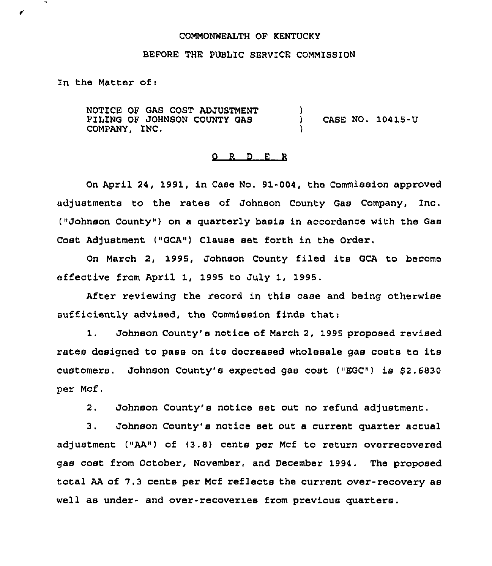#### COMMONWEALTH OF KENTUCKY

## BEFORE THE PUBLIC SERVICE COMMISSION

In the Matter of:

ℯ

NOTICE OF GAS COST ADJUSTMENT FILING OF JOHNSON COUNTY GAS COMPANY, INC. ) CASE NO. 10415-U )

### 0 <sup>R</sup> <sup>D</sup> E <sup>R</sup>

On April 24, 1991, in Case No. 91-004, the Commission approved adjustments to the rates of Johnson County Gas Company, Inc. ("Johnson County" ) on a quarterly basis in accordance with the Gas Cost Adjustment ("GCA") Clause set forth in the Order.

On March 2, 1995, Johnson County filed its GCA to become effective from April 1, 1995 to July 1, 1995.

After reviewing the record in this case and being otherwise sufficiently advised, the Commission finds that:

1. Johnson County'e notice of March 2, 1995 proposed revised rates designed to pass on its decreased wholesale gas costs to its customers. Johnson County's expected gas cost ("EGC") is \$2.6830 per Mcf.

2, Johnson County's notice set out no refund adjustment.

3. Johnson County's notice set out a current quarter actual adjustment ("AA") of (3,8) cents per Mcf to return overrecovered gas cost from October, November, and December 1994. The proposed total AA of 7.3 cents per Mcf reflects the current over-recovery as well as under- and over-recover1es from previous quarters.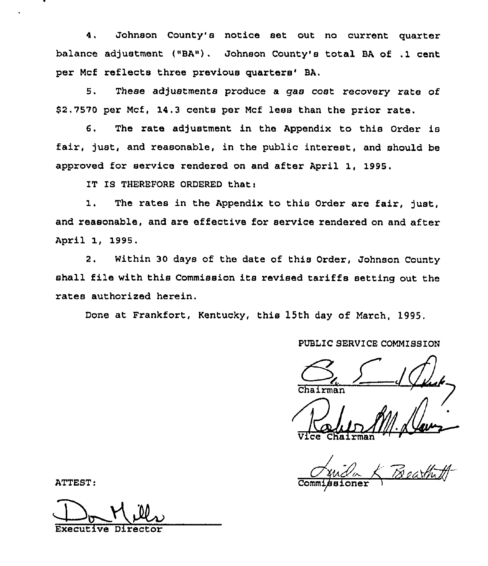Johnson County's notice set out no current quarter  $4.$ balance adjustment {"BA"). Johnson County's total BA of .1 cent per Mcf reflects three previous quarters' BA.

5. These adjustments produce a gas cost recovery rate of \$2.7570 per Mcf, 14.3 cents per Mcf less than the prior rate.

6. The rate adjustment in the Appendix to this Order is fair, just, and reasonable, in the public interest, and should be approved for service rendered on and after April 1, 1995,

IT IS THEREFORE ORDERED that:

1. The rates in the Appendix to this Order are fair, just, and reasonable, and are effective for service rendered on and after April 1, 199S.

2. Within 30 days of the date of this Order, Johnson County shall file with this Commission its revised tariffs setting out the rates authorized herein.

Done at Frankfort, Kentucky, this l5th day of March, 1995.

# PUBLIC SERVICE COMMISSION

«4 Chairman

Vice Chairma

Juila & Beathill Commissioner 1

ATTEST:

Don Mills